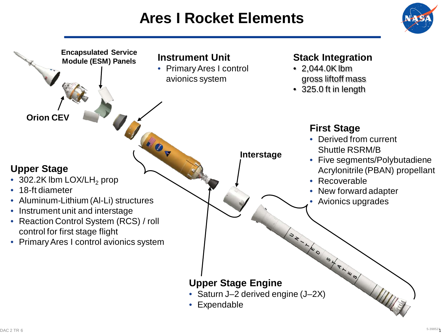## **Ares I Rocket Elements**